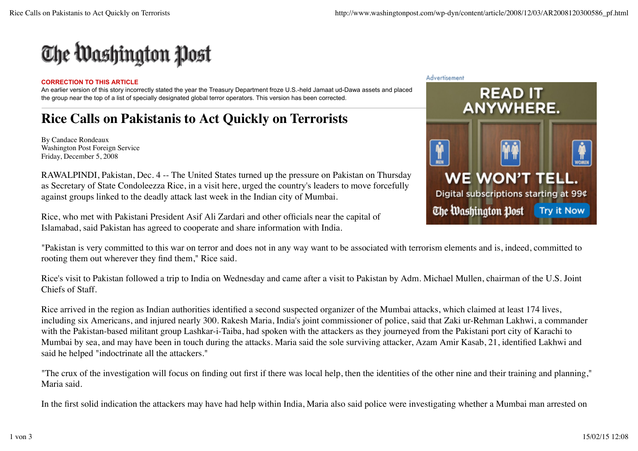

## **CORRECTION TO THIS ARTICLE**

An earlier version of this story incorrectly stated the year the Treasury Department froze U.S.-held Jamaat ud-Dawa assets and placed the group near the top of a list of specially designated global terror operators. This version has been corrected.

## **Rice Calls on Pakistanis to Act Quickly on Terrorists**

By Candace Rondeaux Washington Post Foreign Service Friday, December 5, 2008

RAWALPINDI, Pakistan, Dec. 4 -- The United States turned up the pressure on Pakistan on Thursday as Secretary of State Condoleezza Rice, in a visit here, urged the country's leaders to move forcefully against groups linked to the deadly attack last week in the Indian city of Mumbai.

Rice, who met with Pakistani President Asif Ali Zardari and other officials near the capital of Islamabad, said Pakistan has agreed to cooperate and share information with India.



"Pakistan is very committed to this war on terror and does not in any way want to be associated with terrorism elements and is, indeed, committed to rooting them out wherever they find them," Rice said.

Rice's visit to Pakistan followed a trip to India on Wednesday and came after a visit to Pakistan by Adm. Michael Mullen, chairman of the U.S. Joint Chiefs of Staff.

Rice arrived in the region as Indian authorities identified a second suspected organizer of the Mumbai attacks, which claimed at least 174 lives, including six Americans, and injured nearly 300. Rakesh Maria, India's joint commissioner of police, said that Zaki ur-Rehman Lakhwi, a commander with the Pakistan-based militant group Lashkar-i-Taiba, had spoken with the attackers as they journeyed from the Pakistani port city of Karachi to Mumbai by sea, and may have been in touch during the attacks. Maria said the sole surviving attacker, Azam Amir Kasab, 21, identified Lakhwi and said he helped "indoctrinate all the attackers."

"The crux of the investigation will focus on finding out first if there was local help, then the identities of the other nine and their training and planning," Maria said.

In the first solid indication the attackers may have had help within India, Maria also said police were investigating whether a Mumbai man arrested on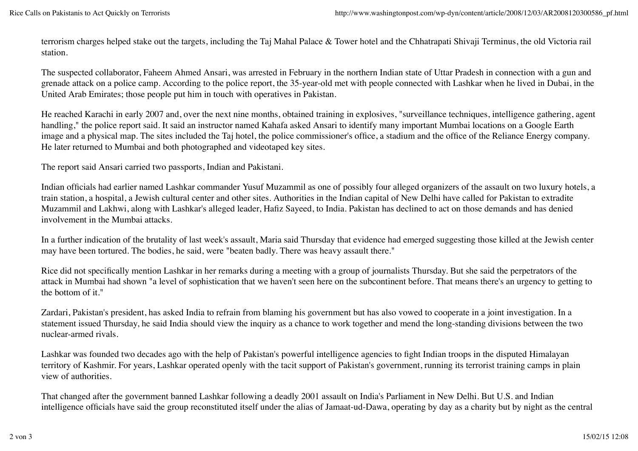terrorism charges helped stake out the targets, including the Taj Mahal Palace & Tower hotel and the Chhatrapati Shivaji Terminus, the old Victoria rail station.

The suspected collaborator, Faheem Ahmed Ansari, was arrested in February in the northern Indian state of Uttar Pradesh in connection with a gun and grenade attack on a police camp. According to the police report, the 35-year-old met with people connected with Lashkar when he lived in Dubai, in the United Arab Emirates; those people put him in touch with operatives in Pakistan.

He reached Karachi in early 2007 and, over the next nine months, obtained training in explosives, "surveillance techniques, intelligence gathering, agent handling," the police report said. It said an instructor named Kahafa asked Ansari to identify many important Mumbai locations on a Google Earth image and a physical map. The sites included the Taj hotel, the police commissioner's office, a stadium and the office of the Reliance Energy company. He later returned to Mumbai and both photographed and videotaped key sites.

The report said Ansari carried two passports, Indian and Pakistani.

Indian officials had earlier named Lashkar commander Yusuf Muzammil as one of possibly four alleged organizers of the assault on two luxury hotels, a train station, a hospital, a Jewish cultural center and other sites. Authorities in the Indian capital of New Delhi have called for Pakistan to extradite Muzammil and Lakhwi, along with Lashkar's alleged leader, Hafiz Sayeed, to India. Pakistan has declined to act on those demands and has denied involvement in the Mumbai attacks.

In a further indication of the brutality of last week's assault, Maria said Thursday that evidence had emerged suggesting those killed at the Jewish center may have been tortured. The bodies, he said, were "beaten badly. There was heavy assault there."

Rice did not specifically mention Lashkar in her remarks during a meeting with a group of journalists Thursday. But she said the perpetrators of the attack in Mumbai had shown "a level of sophistication that we haven't seen here on the subcontinent before. That means there's an urgency to getting to the bottom of it."

Zardari, Pakistan's president, has asked India to refrain from blaming his government but has also vowed to cooperate in a joint investigation. In a statement issued Thursday, he said India should view the inquiry as a chance to work together and mend the long-standing divisions between the two nuclear-armed rivals.

Lashkar was founded two decades ago with the help of Pakistan's powerful intelligence agencies to fight Indian troops in the disputed Himalayan territory of Kashmir. For years, Lashkar operated openly with the tacit support of Pakistan's government, running its terrorist training camps in plain view of authorities.

That changed after the government banned Lashkar following a deadly 2001 assault on India's Parliament in New Delhi. But U.S. and Indian intelligence officials have said the group reconstituted itself under the alias of Jamaat-ud-Dawa, operating by day as a charity but by night as the central